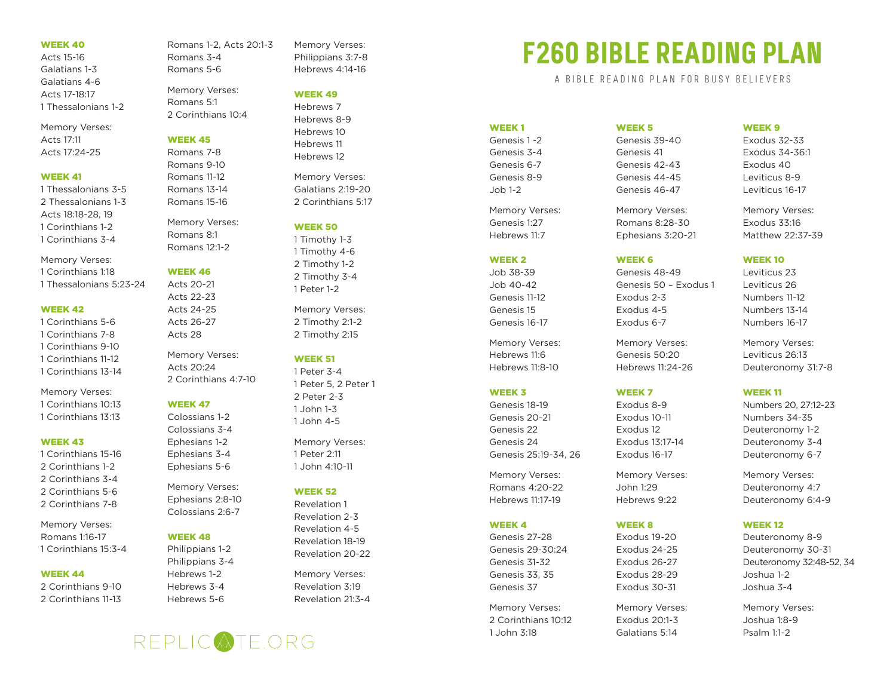# WEEK 40

Acts 15-16 Galatians 1-3 Galatians 4-6 Acts 17-18:17 1 Thessalonians 1-2

Memory Verses: Acts 17:11 Acts 17:24-25

#### WEEK 41

1 Thessalonians 3-5 2 Thessalonians 1-3 Acts 18:18-28, 19 1 Corinthians 1-2 1 Corinthians 3-4

Memory Verses:

1 Corinthians 1:18 1 Thessalonians 5:23-24

#### WEEK 42

- 1 Corinthians 5-6 1 Corinthians 7-8 1 Corinthians 9-10 1 Corinthians 11-12
- 1 Corinthians 13-14

Memory Verses: 1 Corinthians 10:13 1 Corinthians 13:13

#### WEEK 43

1 Corinthians 15-16 2 Corinthians 1-2 2 Corinthians 3-4 2 Corinthians 5-6 2 Corinthians 7-8

Memory Verses: Romans 1:16-17 1 Corinthians 15:3-4

# WEEK 44

2 Corinthians 9-10 2 Corinthians 11-13 Romans 1-2, Acts 20:1-3 Romans 3-4 Romans 5-6 Memory Verses:

Romans 5:1 2 Corinthians 10:4

#### WEEK 45

Romans 7-8 Romans 9-10 Romans 11-12 Romans 13-14 Romans 15-16

Memory Verses: Romans 8:1 Romans 12:1-2

# WEEK 46

Acts 20-21 Acts 22-23 Acts 24-25 Acts 26-27 Acts 28

Memory Verses: Acts 20:24 2 Corinthians 4:7-10

## WEEK 47

Colossians 1-2 Colossians 3-4 Ephesians 1-2 Ephesians 3-4 Ephesians 5-6

Memory Verses: Ephesians 2:8-10 Colossians 2:6-7

# WEEK 48

Philippians 1-2 Philippians 3-4 Hebrews 1-2 Hebrews 3-4 Hebrews 5-6

Memory Verses: Philippians 3:7-8 Hebrews 4:14-16

# WEEK 49

Hebrews 7 Hebrews 8-9 Hebrews 10 Hebrews 11 Hebrews 12

Memory Verses: Galatians 2:19-20 2 Corinthians 5:17

#### WEEK 50

1 Timothy 1-3 1 Timothy 4-6 2 Timothy 1-2 2 Timothy 3-4 1 Peter 1-2

Memory Verses: 2 Timothy 2:1-2 2 Timothy 2:15

# WEEK 51

1 Peter 3-4 1 Peter 5, 2 Peter 1 2 Peter 2-3 1 John 1-3 1 John 4-5

Memory Verses: 1 Peter 2:11 1 John 4:10-11

# WEEK 52

Revelation 1 Revelation 2-3 Revelation 4-5 Revelation 18-19 Revelation 20-22

Memory Verses: Revelation 3:19 Revelation 21:3-4



# **F260 BIBLE READING PLAN**

A BIBLE READING PLAN FOR BUSY BELIEVERS

#### WEEK 1

Genesis 1 -2 Genesis 3-4 Genesis 6-7 Genesis 8-9 Job 1-2

Memory Verses: Genesis 1:27 Hebrews 11:7

# WEEK 2

Job 38-39 Job 40-42 Genesis 11-12 Genesis 15 Genesis 16-17

Memory Verses: Hebrews 11:6 Hebrews 11:8-10

# WEEK 3

Genesis 18-19 Genesis 20-21 Genesis 22 Genesis 24 Genesis 25:19-34, 26

Memory Verses: Romans 4:20-22 Hebrews 11:17-19

# WEEK 4

Genesis 27-28 Genesis 29-30:24 Genesis 31-32 Genesis 33, 35 Genesis 37

Memory Verses: 2 Corinthians 10:12 1 John 3:18

# WEEK 5

Genesis 39-40 Genesis 41 Genesis 42-43 Genesis 44-45 Genesis 46-47

Memory Verses: Romans 8:28-30 Ephesians 3:20-21

#### WEEK 6

Genesis 48-49 Genesis 50 – Exodus 1 Exodus 2-3 Exodus 4-5 Exodus 6-7

Memory Verses: Genesis 50:20 Hebrews 11:24-26

# WEEK<sub>7</sub>

Exodus 8-9 Exodus 10-11 Exodus 12 Exodus 13:17-14 Exodus 16-17

Memory Verses: John 1:29 Hebrews 9:22

#### WEEK 8

Exodus 19-20 Exodus 24-25 Exodus 26-27 Exodus 28-29 Exodus 30-31

Memory Verses: Exodus 20:1-3 Galatians 5:14

## WEEK<sub>9</sub>

Exodus 32-33 Exodus 34-36:1 Exodus 40 Leviticus 8-9 Leviticus 16-17

Memory Verses: Exodus 33:16 Matthew 22:37-39

### WEEK 10

Leviticus 23 Leviticus 26 Numbers 11-12 Numbers 13-14 Numbers 16-17

Memory Verses: Leviticus 26:13 Deuteronomy 31:7-8

# WEEK 11

Numbers 20, 27:12-23 Numbers 34-35 Deuteronomy 1-2 Deuteronomy 3-4 Deuteronomy 6-7

Memory Verses: Deuteronomy 4:7 Deuteronomy 6:4-9

#### WEEK 12

Deuteronomy 8-9 Deuteronomy 30-31 Deuteronomy 32:48-52, 34 Joshua 1-2 Joshua 3-4

Memory Verses: Joshua 1:8-9 Psalm 1:1-2